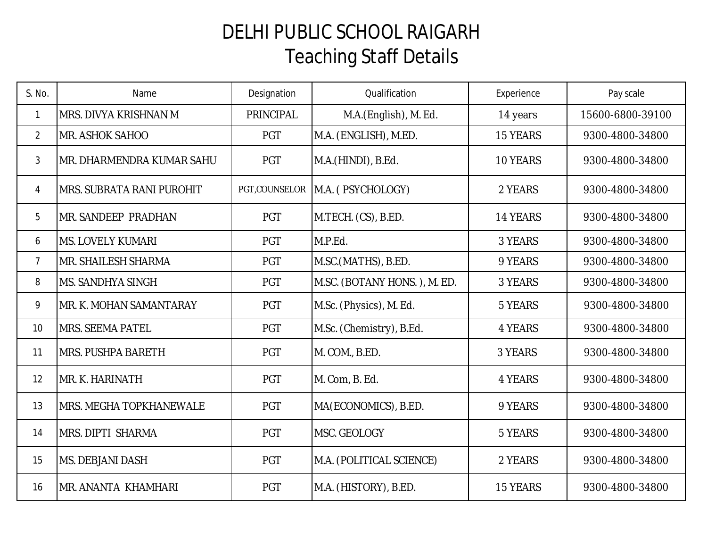## DELHI PUBLIC SCHOOL RAIGARH Teaching Staff Details

| S. No.         | Name                             | Designation   | Qualification                | Experience | Pay scale        |
|----------------|----------------------------------|---------------|------------------------------|------------|------------------|
| $\mathbf{1}$   | MRS. DIVYA KRISHNAN M            | PRINCIPAL     | M.A.(English), M. Ed.        | 14 years   | 15600-6800-39100 |
| $\overline{2}$ | MR. ASHOK SAHOO                  | <b>PGT</b>    | M.A. (ENGLISH), M.ED.        | 15 YEARS   | 9300-4800-34800  |
| $\mathfrak{Z}$ | IMR. DHARMENDRA KUMAR SAHU       | <b>PGT</b>    | M.A.(HINDI), B.Ed.           | 10 YEARS   | 9300-4800-34800  |
| $\overline{4}$ | <b>MRS. SUBRATA RANI PUROHIT</b> | PGT,COUNSELOR | M.A. (PSYCHOLOGY)            | 2 YEARS    | 9300-4800-34800  |
| 5              | <b>MR. SANDEEP PRADHAN</b>       | <b>PGT</b>    | M.TECH. (CS), B.ED.          | 14 YEARS   | 9300-4800-34800  |
| 6              | <b>MS. LOVELY KUMARI</b>         | <b>PGT</b>    | M.P.Ed.                      | 3 YEARS    | 9300-4800-34800  |
| $\overline{7}$ | <b>MR. SHAILESH SHARMA</b>       | <b>PGT</b>    | M.SC.(MATHS), B.ED.          | 9 YEARS    | 9300-4800-34800  |
| 8              | <b>MS. SANDHYA SINGH</b>         | PGT           | M.SC. (BOTANY HONS.), M. ED. | 3 YEARS    | 9300-4800-34800  |
| 9              | MR. K. MOHAN SAMANTARAY          | PGT           | M.Sc. (Physics), M. Ed.      | 5 YEARS    | 9300-4800-34800  |
| 10             | <b>MRS. SEEMA PATEL</b>          | <b>PGT</b>    | M.Sc. (Chemistry), B.Ed.     | 4 YEARS    | 9300-4800-34800  |
| 11             | <b>MRS. PUSHPA BARETH</b>        | <b>PGT</b>    | M. COM., B.ED.               | 3 YEARS    | 9300-4800-34800  |
| 12             | MR. K. HARINATH                  | <b>PGT</b>    | M. Com, B. Ed.               | 4 YEARS    | 9300-4800-34800  |
| 13             | <b>MRS. MEGHA TOPKHANEWALE</b>   | PGT           | MA(ECONOMICS), B.ED.         | 9 YEARS    | 9300-4800-34800  |
| 14             | <b>MRS. DIPTI SHARMA</b>         | PGT           | MSC. GEOLOGY                 | 5 YEARS    | 9300-4800-34800  |
| 15             | <b>MS. DEBJANI DASH</b>          | PGT           | M.A. (POLITICAL SCIENCE)     | 2 YEARS    | 9300-4800-34800  |
| 16             | IMR. ANANTA KHAMHARI             | PGT           | M.A. (HISTORY), B.ED.        | 15 YEARS   | 9300-4800-34800  |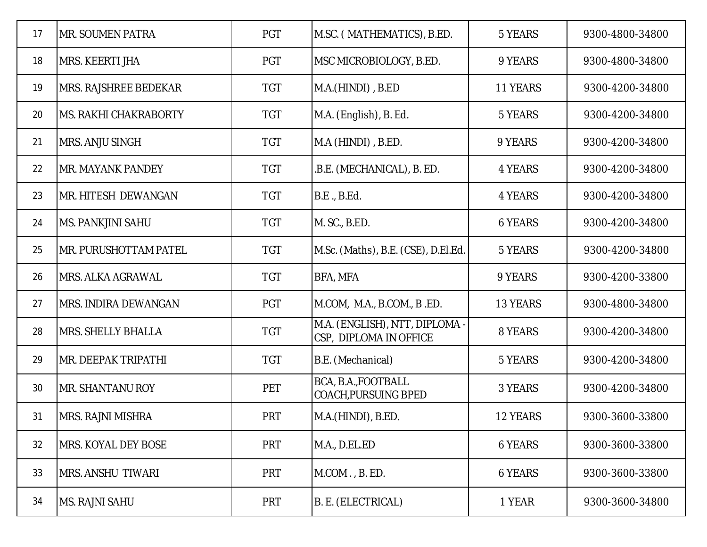| 17 | <b>MR. SOUMEN PATRA</b>     | <b>PGT</b> | M.SC. (MATHEMATICS), B.ED.                               | 5 YEARS  | 9300-4800-34800 |
|----|-----------------------------|------------|----------------------------------------------------------|----------|-----------------|
| 18 | <b>MRS. KEERTI JHA</b>      | PGT        | MSC MICROBIOLOGY, B.ED.                                  | 9 YEARS  | 9300-4800-34800 |
| 19 | MRS. RAJSHREE BEDEKAR       | <b>TGT</b> | M.A.(HINDI), B.ED                                        | 11 YEARS | 9300-4200-34800 |
| 20 | IMS. RAKHI CHAKRABORTY      | <b>TGT</b> | M.A. (English), B. Ed.                                   | 5 YEARS  | 9300-4200-34800 |
| 21 | <b>MRS. ANJU SINGH</b>      | <b>TGT</b> | M.A (HINDI), B.ED.                                       | 9 YEARS  | 9300-4200-34800 |
| 22 | IMR. MAYANK PANDEY          | <b>TGT</b> | .B.E. (MECHANICAL), B. ED.                               | 4 YEARS  | 9300-4200-34800 |
| 23 | IMR. HITESH DEWANGAN        | <b>TGT</b> | B.E., B.Ed.                                              | 4 YEARS  | 9300-4200-34800 |
| 24 | IMS. PANKJINI SAHU          | <b>TGT</b> | M. SC., B.ED.                                            | 6 YEARS  | 9300-4200-34800 |
| 25 | IMR. PURUSHOTTAM PATEL      | <b>TGT</b> | M.Sc. (Maths), B.E. (CSE), D.El.Ed.                      | 5 YEARS  | 9300-4200-34800 |
| 26 | IMRS. ALKA AGRAWAL          | <b>TGT</b> | <b>BFA, MFA</b>                                          | 9 YEARS  | 9300-4200-33800 |
| 27 | <b>MRS. INDIRA DEWANGAN</b> | <b>PGT</b> | M.COM, M.A., B.COM., B .ED.                              | 13 YEARS | 9300-4800-34800 |
| 28 | <b>MRS. SHELLY BHALLA</b>   | <b>TGT</b> | M.A. (ENGLISH), NTT, DIPLOMA -<br>CSP, DIPLOMA IN OFFICE | 8 YEARS  | 9300-4200-34800 |
| 29 | IMR. DEEPAK TRIPATHI        | <b>TGT</b> | B.E. (Mechanical)                                        | 5 YEARS  | 9300-4200-34800 |
| 30 | <b>MR. SHANTANU ROY</b>     | PET        | BCA, B.A., FOOTBALL<br><b>COACH, PURSUING BPED</b>       | 3 YEARS  | 9300-4200-34800 |
| 31 | <b>IMRS. RAJNI MISHRA</b>   | <b>PRT</b> | M.A.(HINDI), B.ED.                                       | 12 YEARS | 9300-3600-33800 |
| 32 | <b>IMRS. KOYAL DEY BOSE</b> | <b>PRT</b> | M.A., D.EL.ED                                            | 6 YEARS  | 9300-3600-33800 |
| 33 | <b>IMRS. ANSHU TIWARI</b>   | <b>PRT</b> | M.COM., B. ED.                                           | 6 YEARS  | 9300-3600-33800 |
| 34 | MS. RAJNI SAHU              | <b>PRT</b> | B. E. (ELECTRICAL)                                       | 1 YEAR   | 9300-3600-34800 |